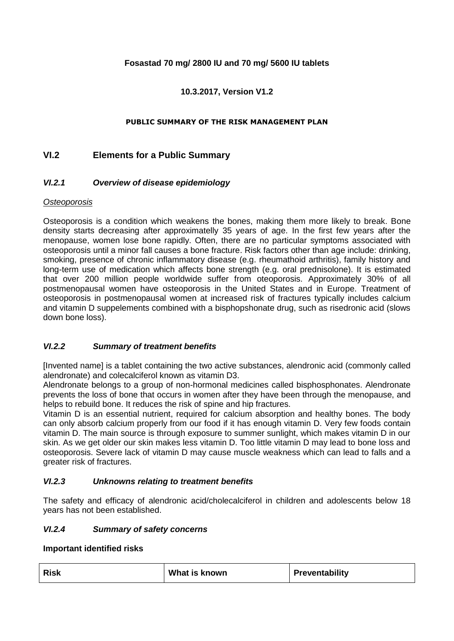## **Fosastad 70 mg/ 2800 IU and 70 mg/ 5600 IU tablets**

## **10.3.2017, Version V1.2**

#### **PUBLIC SUMMARY OF THE RISK MANAGEMENT PLAN**

## **VI.2 Elements for a Public Summary**

#### *VI.2.1 Overview of disease epidemiology*

#### *Osteoporosis*

Osteoporosis is a condition which weakens the bones, making them more likely to break. Bone density starts decreasing after approximatelly 35 years of age. In the first few years after the menopause, women lose bone rapidly. Often, there are no particular symptoms associated with osteoporosis until a minor fall causes a bone fracture. Risk factors other than age include: drinking, smoking, presence of chronic inflammatory disease (e.g. rheumathoid arthritis), family history and long-term use of medication which affects bone strength (e.g. oral prednisolone). It is estimated that over 200 million people worldwide suffer from oteoporosis. Approximately 30% of all postmenopausal women have osteoporosis in the United States and in Europe. Treatment of osteoporosis in postmenopausal women at increased risk of fractures typically includes calcium and vitamin D suppelements combined with a bisphopshonate drug, such as risedronic acid (slows down bone loss).

#### *VI.2.2 Summary of treatment benefits*

[Invented name] is a tablet containing the two active substances, alendronic acid (commonly called alendronate) and colecalciferol known as vitamin D3.

Alendronate belongs to a group of non-hormonal medicines called bisphosphonates. Alendronate prevents the loss of bone that occurs in women after they have been through the menopause, and helps to rebuild bone. It reduces the risk of spine and hip fractures.

Vitamin D is an essential nutrient, required for calcium absorption and healthy bones. The body can only absorb calcium properly from our food if it has enough vitamin D. Very few foods contain vitamin D. The main source is through exposure to summer sunlight, which makes vitamin D in our skin. As we get older our skin makes less vitamin D. Too little vitamin D may lead to bone loss and osteoporosis. Severe lack of vitamin D may cause muscle weakness which can lead to falls and a greater risk of fractures.

#### *VI.2.3 Unknowns relating to treatment benefits*

The safety and efficacy of alendronic acid/cholecalciferol in children and adolescents below 18 years has not been established.

#### *VI.2.4 Summary of safety concerns*

#### **Important identified risks**

| <b>Risk</b> | What is known | Preventability |
|-------------|---------------|----------------|
|             |               |                |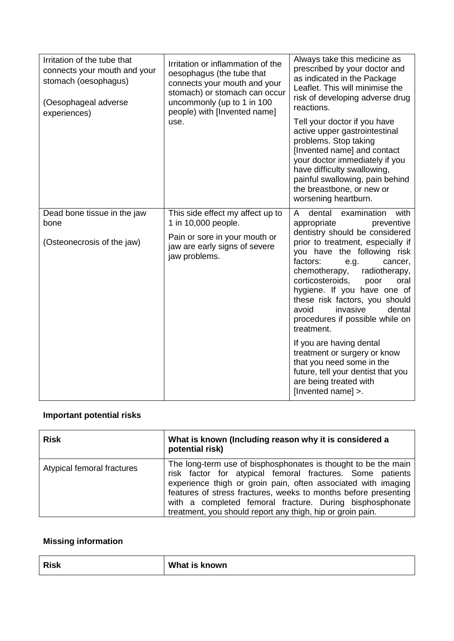| Irritation of the tube that<br>connects your mouth and your<br>stomach (oesophagus)<br>(Oesophageal adverse<br>experiences) | Irritation or inflammation of the<br>oesophagus (the tube that<br>connects your mouth and your<br>stomach) or stomach can occur<br>uncommonly (up to 1 in 100<br>people) with [Invented name]<br>use. | Always take this medicine as<br>prescribed by your doctor and<br>as indicated in the Package<br>Leaflet. This will minimise the<br>risk of developing adverse drug<br>reactions.                                                                                                                                                                         |
|-----------------------------------------------------------------------------------------------------------------------------|-------------------------------------------------------------------------------------------------------------------------------------------------------------------------------------------------------|----------------------------------------------------------------------------------------------------------------------------------------------------------------------------------------------------------------------------------------------------------------------------------------------------------------------------------------------------------|
|                                                                                                                             |                                                                                                                                                                                                       | Tell your doctor if you have<br>active upper gastrointestinal<br>problems. Stop taking<br>[Invented name] and contact<br>your doctor immediately if you<br>have difficulty swallowing,<br>painful swallowing, pain behind<br>the breastbone, or new or<br>worsening heartburn.                                                                           |
| Dead bone tissue in the jaw<br>bone                                                                                         | This side effect my affect up to<br>1 in 10,000 people.                                                                                                                                               | dental<br>examination<br>with<br>A<br>appropriate<br>preventive                                                                                                                                                                                                                                                                                          |
| (Osteonecrosis of the jaw)                                                                                                  | Pain or sore in your mouth or<br>jaw are early signs of severe<br>jaw problems.                                                                                                                       | dentistry should be considered<br>prior to treatment, especially if<br>you have the following risk<br>factors:<br>e.g.<br>cancer,<br>radiotherapy,<br>chemotherapy,<br>corticosteroids,<br>poor<br>oral<br>hygiene. If you have one of<br>these risk factors, you should<br>invasive<br>avoid<br>dental<br>procedures if possible while on<br>treatment. |
|                                                                                                                             |                                                                                                                                                                                                       | If you are having dental<br>treatment or surgery or know<br>that you need some in the<br>future, tell your dentist that you<br>are being treated with<br>[Invented name] >.                                                                                                                                                                              |

# **Important potential risks**

| <b>Risk</b>                | What is known (Including reason why it is considered a<br>potential risk)                                                                                                                                                                                                                                                                                                                 |
|----------------------------|-------------------------------------------------------------------------------------------------------------------------------------------------------------------------------------------------------------------------------------------------------------------------------------------------------------------------------------------------------------------------------------------|
| Atypical femoral fractures | The long-term use of bisphosphonates is thought to be the main<br>risk factor for atypical femoral fractures. Some patients<br>experience thigh or groin pain, often associated with imaging<br>features of stress fractures, weeks to months before presenting<br>with a completed femoral fracture. During bisphosphonate<br>treatment, you should report any thigh, hip or groin pain. |

# **Missing information**

| <b>Risk</b><br>What is known |  |
|------------------------------|--|
|------------------------------|--|